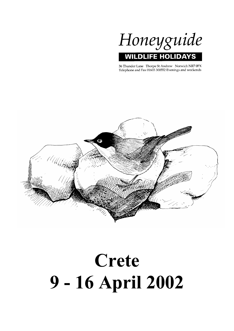

36 Thunder Lane Thorpe St Andrew Norwich NR7 0PX Telephone and Fax 01603 300552 Evenings and weekends



# **Crete 9 - 16 April 2002**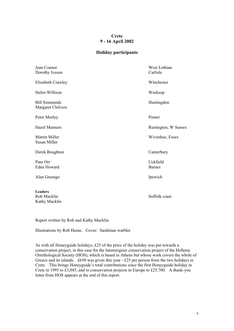# **Crete 9 - 16 April 2002**

# **Holiday participants**

| Jean Connor<br>Dorothy Iveson                  | West Lothian<br>Carlisle  |
|------------------------------------------------|---------------------------|
| Elizabeth Crawley                              | Winchester                |
| Helen Willison                                 | Worksop                   |
| <b>Bill Simmonds</b><br>Margaret Chilvers      | Huntingdon                |
| Peter Morley                                   | Pinner                    |
| <b>Hazel Manners</b>                           | Rustington, W Sussex      |
| <b>Martin Miller</b><br>Susan Miller           | Wivenhoe, Essex           |
| Derek Boughton                                 | Canterbury                |
| Pam Orr<br>Edna Howard                         | Uckfield<br><b>Barnes</b> |
| Alan Greengo                                   | Ipswich                   |
| <b>Leaders</b><br>Rob Macklin<br>Kathy Macklin | Suffolk coast             |

Report written by Rob and Kathy Macklin.

Illustrations by Rob Hume. Cover: Sardinian warbler

As with all Honeyguide holidays, £25 of the price of the holiday was put towards a conservation project, in this case for the lammergeier conservation project of the Hellenic Ornithological Society (HOS), which is based in Athens but whose work covers the whole of Greece and its islands. £650 was given this year - £25 per person from the two holidays in Crete. This brings Honeyguide's total contributions since the first Honeyguide holiday in Crete in 1995 to £3,045, and to conservation projects in Europe to £25,700. A thank-you letter from HOS appears at the end of this report.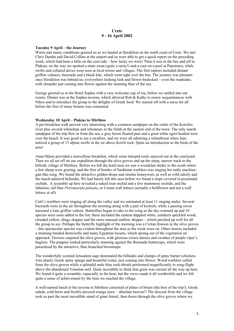# **Crete 9 - 16 April 2002**

# **Tuesday 9 April – the Journey**

Warm and sunny conditions greeted us as we landed at Heraklion on the north coast of Crete. We met Chris Durdin and David Collins at the airport and so were able to get a quick report on the preceding week, which had been a little on the cool side – how lucky we were! Then it was in the bus and off to Plakias; on the way we spotted a mute swan (quite a rarity!) and a coot on a pool at Panormos, while swifts and collared doves were seen at local towns and villages. The first raptors included distant griffon vultures, buzzards and a black kite, which went right over the bus. The journey was pleasant once Heraklion was behind us; everywhere looking lush and flower-bedecked – even the roadsides, with oleander just coming into flower against the stunning blue of the sea.

George greeted us at the Hotel Sophia with a very welcome cup of tea, before we settled into our rooms. Dinner was at the Sophia taverna, which allowed Rob & Kathy to renew acquaintances with Nikos and to introduce the group to the delights of Greek food. We started off with a meze for all before the first of many briams was consumed.

# **Wednesday 10 April – Plakias to Mirthios**

A pre-breakfast walk proved very interesting with a common sandpiper on the outlet of the Kotsifos river plus several whinchats and wheatears in the fields at the eastern end of the town. The only marsh sandpiper of the trip flew in from the sea, a grey heron floated past and a great white egret headed west over the beach. It was good to see a swallow, and we were all admiring a whitethroat when Jean noticed a group of 15 alpine swifts in the air above Korifi rock. Quite an introduction to the birds of the area!

Anne-Marie provided a marvellous breakfast, which some intrepid souls enjoyed out in the courtyard. Then we all set off on our expedition through the olive groves and up the steep, narrow track to the hillside village of Mirthios. Before we left the hotel area we saw a woodchat shrike in the scrub where a few sheep were grazing, and the first of hordes of Sardinian warblers was singing his rattly machinegun-like song. We found the attractive golden-drops and similar honeywort, as well as wild salsify and the much-admired bellardia. We had barely left this area before we found a slope covered in pyramidal orchids. A scramble up here revealed a naked man orchid and a few mammose orchids, and the fabulous, tall blue *Petromarula pinnata*, or Cretan wall lettuce (actually a bellflower and not a wall lettuce at all).

Cetti's warblers were singing all along the valley and we estimated at least 11 singing males. Several buzzards were in the air throughout the morning along with a pair of kestrels, while a passing raven harassed a lone griffon vulture. Butterflies began to take to the wing as the day warmed up and 10 species were soon added to the list; these included the eastern dappled white, southern speckled wood, clouded yellow, dingy skipper and the more unusual mallow skipper – which perched up well for all the group to see. Perhaps the butterfly highlight of the morning was a Cretan festoon in the olive groves – this spectacular species was evident throughout the area as the week wore on. Other insects included a stunning banded demoiselle and many Egyptian locusts, which sprang out of the vegetation on approach. Flowers carpeted the olive groves, with glorious crown daisies and swathes of purple viper's bugloss. The poppies looked particularly stunning against the Bermuda buttercups, which were parasitised by the attractive, blue branched broomrape.

The wonderfully scented Jerusalem sage dominated the hillsides and clumps of spiny burnet (chickenwire plant), Greek spiny spurge and beautiful cistus, just coming into flower. Wood warblers called from the olive groves while a splendid male blue rock-thrush performed magnificently in song-flight above the abandoned Venetian mill. Quite incredible to think that grain was carried all the way up here. We found it quite a scramble, especially in the heat, but the views made it all worthwhile and we felt quite a sense of achievement by the time we reached the village.

A well-earned lunch at the taverna in Mirthios consisted of plates of briam (the best of the trip!), Greek salads, cold beers and freshly-pressed orange juice – absolute heaven!! The descent from the village took us past the most incredible stand of giant fennel, then down through the olive groves where we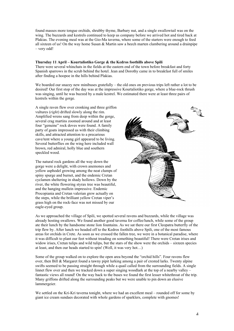found masses more tongue orchids, shrubby thyme, Barbary nut, and a single swallowtail was on the wing. The buzzards and kestrels continued to keep us company before we arrived hot and tired back at Plakias. The evening meal was at the Gio-Ma taverna, where some of the starters were enough to feed all sixteen of us! On the way home Susan & Martin saw a beech marten clambering around a drainpipe – very odd!

# **Thursday 11 April – Kourtaliotiko Gorge & the Kedros foothills above Spili**

There were several whinchats in the fields at the eastern end of the town before breakfast and forty Spanish sparrows in the scrub behind the hotel. Jean and Dorothy came in to breakfast full of smiles after finding a hoopoe in the hills behind Plakias.

We boarded our snazzy new minibuses gratefully – the old ones on previous trips left rather a lot to be desired! Our first stop of the day was at the impressive Kourtaliotiko gorge, where a blue-rock thrush was singing, until he was buzzed by a male kestrel. We estimated there were at least three pairs of kestrels within the gorge.

A single raven flew over cronking and three griffon vultures (*right*) drifted slowly along the rim. Amplified wrens sang from deep within the gorge, several crag martins zoomed around and at least four "genuine" rock doves were found. A family party of goats impressed us with their climbing skills, and attracted attention to a precarious cave/tent where a young girl appeared to be living. Several butterflies on the wing here included wall brown, red admiral, holly blue and southern speckled wood.

The natural rock gardens all the way down the gorge were a delight, with crown anemones and yellow asphodel growing among the neat clumps of spiny spurge and burnet, and the endemic Cretan cyclamen sheltering in shady hollows. Down by the river, the white flowering styrax tree was beautiful, and the hanging mullein impressive. Endemic Procopiania and Cretan valerian grew actually on the steps, while the brilliant yellow Cretan viper's grass high on the rock-face was not missed by our eagle-eyed group.



As we approached the village of Spili, we spotted several ravens and buzzards, while the village was already hosting swallows. We found another good taverna for coffee/lunch, while some of the group ate their lunch by the handsome stone lion fountains. As we sat there our first Cleopatra butterfly of the trip flew by. After lunch we headed off to the Kedros foothills above Spili, one of the most famous areas for orchids in Crete. As soon as we crossed the fallen tree, we were in a botanical paradise, where it was difficult to plant our feet without treading on something beautiful! There were Cretan irises and widow irises, Cretan tulips and wild tulips, but the stars of the show were the orchids – sixteen species at least, and then our heads started to spin! (Well, it was very hot…)

Some of the group walked on to explore the open area beyond the "orchid hills". Four ravens flew over, then Bill & Margaret found a tawny pipit lurking among a pair of crested larks. Twenty alpine swifts seemed to be passing straight through while a quail called from the surrounding fields. A single linnet flew over and then we tracked down a super singing woodlark at the top of a nearby valley – fantastic views all round! On the way back to the buses we found the first lesser whitethroat of the trip. Many griffons drifted along the surrounding peaks but we were unable to pin down an elusive lammergeier.

We settled on the Kri-Kri taverna tonight, where we had an excellent meal – rounded off for some by giant ice cream sundaes decorated with whole gardens of sparklers, complete with gnomes!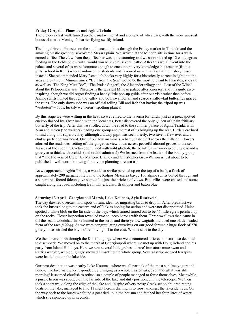# **Friday 12 April – Phaestos and Aghia Triada**

The pre-breakfast walk turned up the usual whinchat and a couple of wheatears, with the more unusual bonus of a male Montagu's harrier flying swiftly inland.

The long drive to Phaestos on the south coast took us through the Friday market in Timbaki and the amazing plastic greenhouse-covered Mesara plain. We arrived at the Minoan site in time for a wellearned coffee. The view from the coffee bar was quite stunning and we soon picked up 12 cattle egrets feeding in the fields below with, would you believe it, several cattle. After this we all went into the palace and several of us were fortunate enough to encounter a very knowledgeable teacher (from a girls' school in Kent) who abandoned her students and favoured us with a fascinating history lesson instead! She recommended Mary Renault's books very highly for a historically correct insight into the area and culture in Minoan times. "Bull from the Sea" would be the most relevant to Phaestos, she said, as well as "The King Must Die", "The Praise Singer", the Alexander trilogy and "Last of the Wine" – about the Peloponnese war. Phaestos is the greatest Minoan palace after Knossos, and it is quite aweinspiring, though we did regret finding a handy little pop-up guide after our visit rather than before. Alpine swifts hunted through the valley and both swallowtail and scarce swallowtail butterflies graced the ruins. The only down side was an official telling Bill and Rob that having the tripod up was "verboten" – oops, luckily we weren't spotting planes!

By this stage we were wilting in the heat, so we retired to the taverna for lunch, just as a great spotted cuckoo flashed by. Over lunch with the local cats, Peter discovered the only Queen of Spain fritillary butterfly of the trip. After this we strolled down the road to the summer palace of Aghia Triada, with Alan and Helen (the walkers) leading one group and the rest of us bringing up the rear. Birds were hard to find along this superb valley although a tawny pipit was seen briefly, two ravens flew over and a chukar partridge was heard. One of our few mammals, a hare, dashed off across the hillside! Flowers adorned the roadsides, setting off the gorgeous view down across peaceful almond groves to the sea. Masses of the endemic Cretan ebony vied with wild gladioli, the beautiful narrow-leaved bugloss and a grassy area thick with orchids (and orchid admirers!) We learned from the leader of the botany group that "The Flowers of Crete" by Marjorie Blamey and Christopher Grey-Wilson is just about to be published – well worth knowing for anyone planning a return trip.

As we approached Aghia Triada, a woodchat shrike perched up on the top of a bush, a flock of approximately 200 garganey flew into the Kolpos Messaras bay, c.100 alpine swifts bolted through and a superb red-footed falcon gave some of us just the briefest of views. Butterflies were chased and some caught along the road, including Bath white, Lulworth skipper and baton blue.

#### **Saturday 13 April –Georgioupoli Marsh, Lake Kournas, Ayia Reservoir**

The day dawned overcast with spots of rain, ideal for migrating birds to drop in. After breakfast we took the buses along to the eastern end of Plakias hoping for action and were not disappointed. Helen spotted a white blob on the far side of the bay, which turned turned out to be 46 little egrets perched up on the rocks. Closer inspection revealed two squacco herons with them. Three swallows then came in off the sea, a woodchat shrike hunted in the scrub and three yellow wagtails included one black-headed form of the race *feldegg.* As we were congratulating ourselves on our good fortune a huge flock of 270 glossy ibises circled the bay before moving off to the east. What a start to the day!

We then drove north through the Kotsifou gorge where we encountered a fierce rainstorm so declined to disembark. We moved on to the marsh at Georgioupoli where we met up with Doug Ireland and his party from Island Holidays. Here we saw several little grebes, a 'rare' immature mute swan and a Cetti's warbler, who obligingly showed himself to the whole group. Several stripe-necked terrapins were hauled out on the lakeside.

Our next destination was nearby Lake Kournas, where we all partook of the most sublime yogurt and honey. The taverna owner responded by bringing us a whole tray of raki, even though it was still morning! It seemed churlish to refuse, so a couple of people managed to force themselves. Meanwhile, a purple heron was spotted on the far side of the lake and duly positioned in the telescope. We then took a short walk along the edge of the lake and, in spite of very noisy Greek schoolchildren racing boats on the lake, managed to find 11 night herons drifting in to roost amongst the lakeside trees. On the way back to the buses we found a goat tied up in the hot sun and fetched her four litres of water, which she siphoned up in seconds.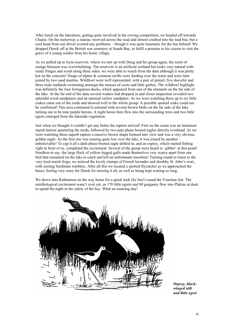After lunch on the lakeshore, getting quite involved in the rowing competition, we headed off towards Chania. On the motorway a maniac swerved across the road and almost crashed into the lead bus, but a cool head from our driver averted any problems – though it was quite traumatic for the bus behind! We dropped Derek off at the British war cemetery at Souda Bay, to fulfil a promise to his cousin to visit the grave of a young soldier from his home village.

As we pulled up at Ayia reservoir, where we met up with Doug and his group again, the scent of orange blossom was overwhelming. The reservoir is an artificial wetland but looks very natural with reedy fringes and scrub along three sides; we were able to watch from the dam although it was pretty hot on the concrete! Heaps of alpine & common swifts were feeding over the water and were later joined by two sand martins. Wildfowl were well represented, with a pair of pintail, five shoveler and three male mallards swimming amongst the masses of coots and little grebes. The wildfowl highlight was definitely the four ferruginous ducks, which appeared from one of the channels on the far side of the lake. At the far end of the dam several waders had dropped in and closer inspection revealed two splendid wood sandpipers and an unusual curlew sandpiper. As we were watching these up to six little crakes came out of the reeds and showed well to the whole group. A possible spotted crake could not be confirmed! This area continued to astound with several brown blobs on the far side of the lake turning out to be nine purple herons. A night heron then flew into the surrounding trees and two little egrets emerged from the lakeside vegetation.

Just when we thought it couldn't get any better the raptors arrived! First on the scene was an immature marsh harrier quartering the reeds, followed by two pale phase booted eagles directly overhead. As we were watching these superb raptors a massive brown shape loomed into view and was a very obvious golden eagle. As the first one was soaring quite low over the lake, it was joined by another – unbelievable! To cap it all a dark-phase booted eagle drifted in, and an osprey, which started fishing right in front of us, completed the excitement. Several of the group were heard to 'gibber' at this point! Needless to say, the large flock of yellow-legged gulls made themselves very scarce apart from one bird that remained on the lake to catch and kill an unfortunate moorhen! Turning round to listen to the very loud marsh frogs, we noticed the lovely clumps of French lavender and shrubby St. John's wort, with nesting Sardinian warblers. After all this we located a spotted flycatcher as we approached the buses, feeling very sorry for Derek for missing it all, as well as being kept waiting so long.

We drove into Rethimnon on the way home for a quick look (by bus!) round the Venetian fort. The ornithological excitement wasn't over yet, as 170 little egrets and 80 garganey flew into Plakias at dusk to spend the night in the safety of the bay. What an amazing day!



*Osprey, blackwinged stilt and little egret*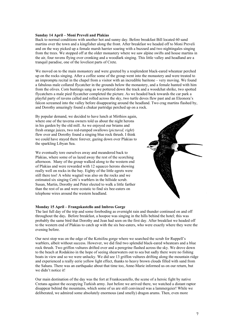## **Sunday 14 April – Moni Preveli and Plakias**

Back to normal conditions with another hot and sunny day. Before breakfast Bill located 60 sand martins over the town and a kingfisher along the front. After breakfast we headed off to Moni Preveli and on the way picked up a female marsh harrier soaring with a buzzard and two nightingales singing from the trees. We stopped off at the older monastery where we saw alpine swifts and house martins in the air, four ravens flying over cronking and a woodlark singing. This little valley and headland are a tranquil paradise, one of the loveliest parts of Crete.

We moved on to the main monastery and were greeted by a resplendent black-eared wheatear perched up on the rocks singing. After a coffee some of the group went into the monastery and were treated to an impromptu recital in the chapel from a visitor with an incredible baritone – very moving. We found a fabulous male collared flycatcher in the grounds below the monastery, and a female hunted with him from the olives. Corn buntings sang as we pottered down the track and a woodchat shrike, two spotted flycatchers a male pied flycatcher completed the picture. As we headed back towards the car park a playful party of ravens called and rolled across the sky, two turtle doves flew past and an Eleonora's falcon screamed into the valley before disappearing around the headland. Two crag martins flashed by, and Dorothy amazingly found a chukar partridge perched up on a rock.

By popular demand, we decided to have lunch at Mirthios again, where one of the taverna owners told us about the night herons in his garden by the old mill. As we enjoyed our briams and fresh orange juices, two red-rumped swallows (*pictured, right*) flew over and Dorothy found a singing blue rock thrush. I think we could have stayed there forever, gazing down over Plakias to the sparkling Libyan Sea.

We eventually tore ourselves away and meandered back to Plakias, where some of us lazed away the rest of the scorching afternoon. Many of the group walked along to the western end of Plakias and were rewarded with 12 squacco herons showing really well on rocks in the bay. Eighty of the little egrets were still there too! A white wagtail was also on the rocks and we estimated six singing Cetti's warblers in the hillside scrub. Susan, Martin, Dorothy and Peter elected to walk a little farther than the rest of us and were ecstatic to find six bee-eaters on telephone wires around the western headland.

#### **Monday 15 April – Frangokastello and Imbros Gorge**

The last full day of the trip and some foreboding as overnight rain and thunder continued on and off throughout the day**.** Before breakfast, a hoopoe was singing in the hills behind the hotel; this was probably the same bird that Dorothy and Jean had seen on the first day. After breakfast we headed off to the western end of Plakias to catch up with the six bee-eaters, who were exactly where they were the evening before.

Our next stop was on the edge of the Kotsifou gorge where we searched the scrub for Ruppell's warblers, albeit without success. However, we did find two splendid black-eared wheatears and a blue rock thrush. Two griffon vultures drifted over and a peregrine flashed across the sky. We drove down to the beach at Rodakino in the hope of seeing shearwaters out to sea but sadly there were no fishing boats in view and so we were unlucky. We did see 13 griffon vultures drifting along the mountain ridge and experienced a really eerie yellow light effect, thanks to heavy brown clouds filled with sand from the Sahara. There was an earthquake about that time too, Anne-Marie informed us on our return, but we didn't notice it!

Our main destination of the day was the fort at Frankocastello, the scene of a heroic fight by native Cretans against the occupying Turkish army. Just before we arrived there, we watched a distant raptor disappear behind the mountains, which some of us are still convinced was a lammergeier! While we deliberated, we admired some absolutely enormous (and smelly) dragon arums. Then, even more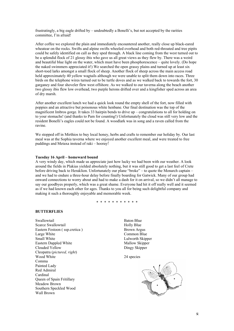frustratingly, a big eagle drifted by – undoubtedly a Bonelli's, but not accepted by the rarities committee, I'm afraid!

After coffee we explored the plain and immediately encountered another, really close up black-eared wheatear on the rocks. Swifts and alpine swifts wheeled overhead and both red-throated and tree pipits could be safely identified on call as they sped through. A black line coming from the west turned out to be a splendid flock of 21 glossy ibis who gave us all great views as they flew by. There was a weird and beautiful blue light on the water, which must have been phosphorescence – quite lovely. (Do hope the naked swimmers appreciated it!) We searched the open grassy plains and turned up at least six short-toed larks amongst a small flock of sheep. Another flock of sheep across the main access road held approximately 40 yellow wagtails although we were unable to split them down into races. Three birds on the telephone wires turned out to be turtle doves and as we walked back to towards the fort, 30 garganey and four shoveler flew west offshore. As we walked to our taverna along the beach another two glossy ibis flew low overhead, two purple herons drifted over and a kingfisher sped across an area of dry marsh.

After another excellent lunch we had a quick look round the empty shell of the fort, now filled with poppies and an attractive but poisonous white henbane. Our final destination was the top of the magnificent Imbros gorge. It takes 33 hairpin bends to drive up – congratulations to all for holding on to your stomachs! (and thanks to Pam for counting!) Unfortunately the cloud was still very low and the resident Bonelli's eagles could not be found. A woodlark was in song and a raven called from the ravine.

We stopped off in Mirthios to buy local honey, herbs and crafts to remember our holiday by. Our last meal was at the Sophia taverna where we enjoyed another excellent meal, and were treated to free puddings and Metaxa instead of raki – hooray!

# **Tuesday 16 April – homeward bound**

A very windy day, which made us appreciate just how lucky we had been with our weather. A look around the fields in Plakias yielded absolutely nothing, but it was still good to get a last feel of Crete before driving back to Heraklion. Unfortunately our plane "broke" – to quote the Monarch captain – and we had to endure a three-hour delay before finally boarding for Gatwick. Many of our group had onward connections to worry about and had to make a dash for it on arrival, so we didn't all manage to say our goodbyes properly, which was a great shame. Everyone had hit it off really well and it seemed as if we had known each other for ages. Thanks to you all for being such delightful company and making it such a thoroughly enjoyable and memorable week.

\* \* \* \* \* \* \* \* \* \* \*

# **BUTTERFLIES**

Swallowtail Scarce Swallowtail Eastern Festoon ( ssp.cretica ) Large White Small White Eastern Dappled White Clouded Yellow Cleopatra (*pictured, right*) Wood White Comma Painted Lady Red Admiral Cardinal Queen of Spain Fritillary Meadow Brown Southern Speckled Wood Wall Brown

Baton Blue Holly Blue Brown Argus Common Blue Lulworth Skipper Mallow Skipper Dingy Skipper

24 species

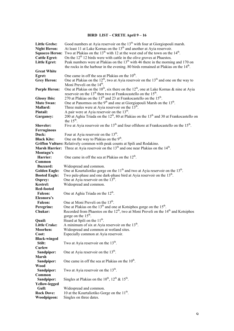# **BIRD LIST – CRETE April 9 – 16**

| <b>Little Grebe:</b>  | Good numbers at Ayia reservoir on the 13 <sup>th</sup> with four at Giorgiopouli marsh.                      |
|-----------------------|--------------------------------------------------------------------------------------------------------------|
| <b>Night Heron:</b>   | At least 11 at Lake Kornas on the 13 <sup>th</sup> and another at Ayia reservoir.                            |
| <b>Squacco Heron:</b> | Two at Plakias on the $13th$ with 12 at the west end of the town on the $14th$ .                             |
| <b>Cattle Egret:</b>  | On the $12th 12$ birds were with cattle in the olive groves at Phaestos.                                     |
| <b>Little Egret:</b>  | Peak numbers were at Plakias on the $13th$ with 46 there in the morning and 170 on                           |
|                       | the rocks in the harbour in the evening. 80 birds remained at Plakias on the 14 <sup>th</sup> .              |
| <b>Great White</b>    |                                                                                                              |
| Egret:                | One came in off the sea at Plakias on the 10 <sup>th</sup> .                                                 |
| <b>Grey Heron:</b>    | One at Plakias on the $12^{th}$ , two at Ayia reservoir on the $13^{th}$ and one on the way to               |
|                       | Moni Preveli on the 14 <sup>th</sup> .                                                                       |
| <b>Purple Heron:</b>  | One at Plakias on the $10^{th}$ , six there on the $12^{th}$ , one at Lake Kornas & nine at Ayia             |
|                       | reservoir on the 13 <sup>th</sup> then two at Frankocastello on the 15 <sup>th</sup> .                       |
| <b>Glossy Ibis:</b>   | 270 at Plakias on the 13 <sup>th</sup> and 23 at Frankocastello on the 15 <sup>th</sup> .                    |
| <b>Mute Swan:</b>     | One at Panormos on the $9th$ and one at Giorgiopouli Marsh on the 13 <sup>th</sup> .                         |
| Mallard:              | Three males were at Ayia reservoir on the 13 <sup>th</sup> .                                                 |
| Pintail:              | A pair were at Ayia reservoir on the $13th$ .                                                                |
| Garganey:             | 200 at Aghia Triada on the $12^{th}$ , 80 at Plakias on the $13^{th}$ and 30 at Frankocastello on            |
|                       | the $15th$ .                                                                                                 |
| Shoveler:             | Five at Ayia reservoir on the 13 <sup>th</sup> and four offshore at Frankocastello on the 15 <sup>th</sup> . |
| Ferruginous           |                                                                                                              |
| Duck:                 | Four at Ayia reservoir on the $13th$ .                                                                       |
| <b>Black Kite:</b>    | One on the way to Plakias on the 9 <sup>th</sup> .                                                           |
|                       | Griffon Vulture: Relatively common with peak counts at Spili and Rodakino.                                   |
|                       | <b>Marsh Harrier:</b> Three at Ayia reservoir on the $13th$ and one near Plakias on the $14th$ .             |
| Montagu's             |                                                                                                              |
| Harrier:              | One came in off the sea at Plakias on the $12th$ .                                                           |
| Common                |                                                                                                              |
| <b>Buzzard:</b>       | Widespread and common.                                                                                       |
| <b>Golden Eagle:</b>  | One at Kourtaliotiko gorge on the $11th$ and two at Ayia reservoir on the $13th$ .                           |
| <b>Booted Eagle:</b>  | Two pale-phase and one dark-phase bird at Ayia reservoir on the 13 <sup>th</sup> .                           |
| Osprey:               | One at Ayia reservoir on the $13th$ .                                                                        |
| <b>Kestrel:</b>       | Widespread and common.                                                                                       |
| <b>Red-footed</b>     |                                                                                                              |
| <b>Falcon:</b>        | One at Aghia Triada on the 12 <sup>th</sup> .                                                                |
| Eleonora's            |                                                                                                              |
| <b>Falcon:</b>        | One at Moni Preveli on the 13 <sup>th</sup> .                                                                |
| Peregrine:            | One at Plakias on the 13 <sup>th</sup> and one at Kotsiphos gorge on the 15 <sup>th</sup> .                  |
| Chukar:               | Recorded from Phaestos on the 12 <sup>th</sup> , two at Moni Preveli on the 14 <sup>th</sup> and Kotsiphos   |
|                       | gorge on the 15 <sup>th</sup> .                                                                              |
| Quail:                | Heard at Spili on the $11^{th}$ .                                                                            |
| <b>Little Crake:</b>  | A minimum of six at Ayia reservoir on the $13th$ .                                                           |
| Moorhen:              | Widespread and common at wetland sites.                                                                      |
| Coot:                 | Especially common at Ayia reservoir.                                                                         |
| <b>Black-winged</b>   |                                                                                                              |
| Stilt:                | Two at Ayia reservoir on the $13th$ .                                                                        |
| Curlew                |                                                                                                              |
| Sandpiper:            | One at Ayia reservoir on the 13 <sup>th</sup> .                                                              |
| Marsh                 |                                                                                                              |
| Sandpiper:            | One came in off the sea at Plakias on the 10 <sup>th</sup> .                                                 |
| Wood                  |                                                                                                              |
| Sandpiper:            | Two at Ayia reservoir on the $13th$ .                                                                        |
| Common                |                                                                                                              |
| Sandpiper:            | Singles at Plakias on the $10^{th}$ , $12^{th}$ & $15^{th}$ .                                                |
| <b>Yellow-legged</b>  |                                                                                                              |
| Gull:                 | Widespread and common.                                                                                       |
| <b>Rock Dove:</b>     | 10 at the Kourtaliotiko Gorge on the 11 <sup>th</sup> .                                                      |
| Woodpigeon:           | Singles on three dates.                                                                                      |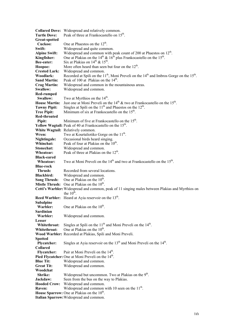| <b>Collared Dove:</b> | Widespread and relatively common.                                                                                          |
|-----------------------|----------------------------------------------------------------------------------------------------------------------------|
| <b>Turtle Dove:</b>   | Peak of three at Frankocastello on 15 <sup>th</sup> .                                                                      |
| Great-spotted         |                                                                                                                            |
| Cuckoo:               | One at Phaestos on the 12 <sup>th</sup> .                                                                                  |
| Swift:                | Widespread and quite common.                                                                                               |
| <b>Alpine Swift:</b>  | Widespread and common with peak count of 200 at Phaestos on 12 <sup>th</sup> .                                             |
| Kingfisher:           | One at Plakias on the $14^{th}$ & $16^{th}$ plus Frankocastello on the $15^{th}$ .                                         |
| Bee-eater:            | Six at Plakias on $14^{\text{th}}$ & $15^{\text{th}}$ .                                                                    |
| Hoopoe:               | More often heard than seen but four on the $12th$ .                                                                        |
| <b>Crested Lark:</b>  | Widespread and common.                                                                                                     |
| Woodlark:             | Recorded at Spili on the $11th$ , Moni Preveli on the $14th$ and Imbros Gorge on the $15th$ .                              |
| <b>Sand Martin:</b>   | Peak of 100 at Plakias on the 14 <sup>th</sup> .                                                                           |
| <b>Crag Martin:</b>   | Widespread and common in the mountainous areas.                                                                            |
| <b>Swallow:</b>       | Widespread and common.                                                                                                     |
| Red-rumped            |                                                                                                                            |
| Swallow:              | Two at Myrthios on the $14th$ .                                                                                            |
| <b>House Martin:</b>  | Just one at Moni Preveli on the $14th$ & two at Frankocastello on the $15th$ .                                             |
| <b>Tawny Pipit:</b>   | Singles at Spili on the $11th$ and Phaestos on the $12th$ .                                                                |
| <b>Tree Pipit:</b>    | Minimum of six at Frankocastello on the 15 <sup>th</sup> .                                                                 |
| Red-throated          |                                                                                                                            |
| Pipit:                | Minimum of five at Frankocastello on the 15 <sup>th</sup> .                                                                |
|                       | Yellow Wagtail: Peak of 40 at Frankocastello on the 15 <sup>th</sup> .                                                     |
|                       | White Wagtail: Relatively common.                                                                                          |
| Wren:                 | Two at Kourtaliotiko Gorge on the 11 <sup>th</sup> .                                                                       |
| Nightingale:          | Occasional birds heard singing.                                                                                            |
| Whinchat:             | Peak of four at Plakias on the 10 <sup>th</sup> .                                                                          |
| <b>Stonechat:</b>     | Widespread and common.                                                                                                     |
| Wheatear:             | Peak of three at Plakias on the 12 <sup>th</sup> .                                                                         |
| <b>Black-eared</b>    |                                                                                                                            |
| Wheatear:             | Two at Moni Preveli on the 14 <sup>th</sup> and two at Frankocastello on the 15 <sup>th</sup> .                            |
| <b>Blue-rock</b>      |                                                                                                                            |
| Thrush:               | Recorded from several locations.                                                                                           |
| <b>Blackbird:</b>     | Widespread and common.                                                                                                     |
| <b>Song Thrush:</b>   | One at Plakias on the 10 <sup>th</sup> .                                                                                   |
|                       | Mistle Thrush: One at Plakias on the 10 <sup>th</sup> .                                                                    |
|                       | Cetti's Warbler: Widespread and common, peak of 11 singing males between Plakias and Myrthios on<br>the $10^{\text{th}}$ . |
|                       |                                                                                                                            |
|                       | Reed Warbler: Heard at Ayia reservoir on the 13 <sup>th</sup> .                                                            |
| <b>Subalpine</b>      | One at Plakias on the 10 <sup>th</sup> .                                                                                   |
| Warbler:<br>Sardinian |                                                                                                                            |
| Warbler:              | Widespread and common.                                                                                                     |
| Lesser                |                                                                                                                            |
| Whitethroat:          | Singles at Spili on the $11th$ and Moni Preveli on the $14th$ .                                                            |
| Whitethroat:          | One at Plakias on the $10^{th}$ .                                                                                          |
|                       | Wood Warbler: Recorded at Plakias, Spili and Moni Preveli.                                                                 |
| <b>Spotted</b>        |                                                                                                                            |
| <b>Plycatcher:</b>    | Singles at Ayia reservoir on the $13th$ and Moni Preveli on the $14th$ .                                                   |
| <b>Collared</b>       |                                                                                                                            |
| <b>Flycatcher:</b>    | Pair at Moni Preveli on the 14 <sup>th</sup> .                                                                             |
|                       | Pied Flycatcher: One at Moni Preveli on the 14 <sup>th</sup> .                                                             |
| <b>Blue Tit:</b>      | Widespread and common.                                                                                                     |
| <b>Great Tit:</b>     | Widespread and common.                                                                                                     |
| Woodchat              |                                                                                                                            |
| <b>Shrike:</b>        | Widespread but uncommon. Two at Plakias on the 9 <sup>th</sup> .                                                           |
| Jackdaw:              | Seen from the bus on the way to Plakias.                                                                                   |
| <b>Hooded Crow:</b>   | Widespread and common.                                                                                                     |
| Raven:                | Widespread and common with 10 seen on the 11 <sup>th</sup> .                                                               |
|                       | House Sparrow: One at Plakias on the 10 <sup>th</sup> .                                                                    |
|                       | Italian Sparrow: Widespread and common.                                                                                    |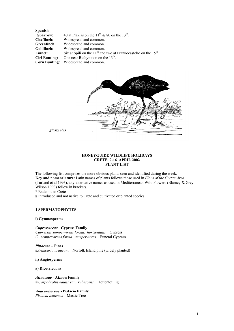**Spanish Sparrow:** 40 at Plakias on the  $11<sup>th</sup>$  & 80 on the  $13<sup>th</sup>$ . **Chaffinch:** Widespread and common. **Greenfinch:** Widespread and common. **Goldfinch:** Widespread and common. **Linnet:** Six at Spili on the 11<sup>th</sup> and two at Frankocastello on the 15<sup>th</sup>. **Cirl Bunting:** One near Rethymnon on the 13<sup>th</sup>. **Corn Bunting:** Widespread and common.



*glossy ibis*

# **HONEYGUIDE WILDLIFE HOLIDAYS CRETE 9-16 APRIL 2002 PLANT LIST**

The following list comprises the more obvious plants seen and identified during the week. **Key and nomenclature:** Latin names of plants follows those used in *Flora of the Cretan Area* (Turland et al 1993), any alternative names as used in Mediterranean Wild Flowers (Blamey & Grey-Wilson 1993) follow in brackets.

\* Endemic to Crete

# Introduced and not native to Crete and cultivated or planted species

# **1 SPERMATOPHYTES**

# **i) Gymnosperms**

*Cupressaceae -* **Cypress Family**

*Cupressus sempervirens forma. horizontalis* Cypress *C. sempervirens forma. sempervirens* Funeral Cypress

*Pinaceae –* **Pines** #*Araucaria araucana* Norfolk Island pine (widely planted)

**ii) Angiosperms**

# **a) Dicotyledons**

*Aizoaceae -* **Aizoon Family** *# Carpobrotus edulis var. rubescens* Hottentot Fig

*Anacardiaceae* **- Pistacio Family** *Pistacia lentiscus* Mastic Tree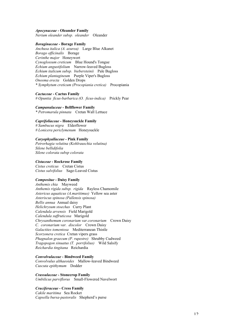#### *Apocynaceae -* **Oleander Family**

*Nerium oleander subsp. oleander* Oleander

#### *Boraginaceae* **- Borage Family**

*Anchusa italica (A. azurea)* Large Blue Alkanet *Borago officinalis* Borage *Cerinthe major* Honeywort *Cynoglossum creticum* Blue Hound's Tongue *Echium angustifolium* Narrow-leaved Bugloss *Echium italicum subsp. biebersteinii* Pale Bugloss *Echium plantagineum* Purple Viper's Bugloss *Onosma erecta* Golden Drops *\* Symphytum creticum (Procopiania cretica)* Procopiania

*Cactaceae* **- Cactus Family**

*# Opuntia ficus-barbarica (O. ficus-indica)* Prickly Pear

# *Campanulaceae* **- Bellflower Family**

*\* Petromarula pinnata* Cretan Wall Lettuce

# *Caprifoliaceae -* **Honeysuckle Family**

*# Sambucus nigra* Elderflower *# Lonicera periclymenum* Honeysuckle

# *Caryophyallaceae* **- Pink Family**

*Petrorhagia velutina (Kohlrauschia velutina) Silene bellidifolia Silene colorata subsp colorata*

#### *Cistaceae* **- Rockrose Family**

*Cistus creticus* Cretan Cistus *Cistus salvifolius* Sage-Leaved Cistus

# *Compositae* **- Daisy Family**

*Anthemis chia* Mayweed *Anthemis rigida subsp. rigida* Rayless Chamomile *Astericus aquaticus (A.maritimus)* Yellow sea aster *Asteriscus spinosa (Pallensis spinosa) Bellis annua* Annual daisy *Helichrysum stoechas* Curry Plant *Calendula arvensis* Field Marigold *Calendula suffruticosa* Marigold *Chrysanthemum coronarium var.coronarium* Crown Daisy *C. coronarium var. discolor* Crown Daisy *Galactites tomentosa* Mediterranean Thistle *Scorzonera cretica* Cretan vipers grass *Phagnalon graecum (P. rupestre)* Shrubby Cudweed *Tragopogon sinuatus (T. porrifolius)* Wild Salsify *Reichardia tingitana* Reichardia

# *Convolvulaceae* **- Bindweed Family**

*Convolvulus althaeoides* Mallow-leaved Bindweed *Cuscuta epithymum* Dodder

*Crassulaceae* **- Stonecrop Family** *Umbilicus parviflorus* Small-Flowered Navelwort

# *Cruciferaceae* **- Cress Family**

*Cakile maritima* Sea Rocket *Capsella bursa-pastoralis* Shepherd's purse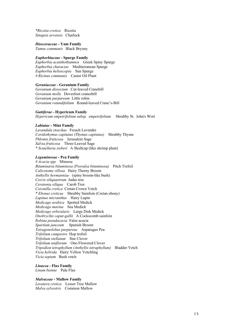*\*Ricotia cretica* Ricotia *Sinapsis arvensis* Charlock

*Dioscoraceae* **- Yam Family**

*Tamus communis* Black Bryony

# *Euphorbiaceae* **- Spurge Family**

*Euphorbia acanthothamnos* Greek Spiny Spurge *Euphorbia characias* Mediterranean Spurge *Euphorbia helioscopia* Sun Spurge *# Ricinus communis* Castor Oil Plant

## *Geraniaceae* **- Geranium Family**

*Geranium dissectum* Cut-leaved Cranebill *Geranium molle* Dovesfoot cranesbill *Geranium purpureum* Little robin *Geranium rotundifolium* Round-leaved Crane's-Bill

# *Guttiferae -* **Hypericum Family**

*Hypericum empetrifolium subsp. empetrifolium* Shrubby St. John's Wort

## *Labiatae* **- Mint Family**

*Lavandula stoechas* French Lavender *Coridothymus capitatus (Thymus capitatus)* Shrubby Thyme *Phlomis fruticosa* Jerusalem Sage *Salvia fruticosa* Three-Leaved Sage *\* Scutellaria sieberi* A Skullcap (like shrimp plant)

# *Leguminosae* **- Pea Family**

*# Acacia spp* Mimosa *Bituminaria bituminosa (Psoralea bituminosa)* Pitch Trefoil *Calicotome villosa* Hairy Thorny Broom *Anthyllis hermanniae* (spiny broom-like bush) *Cercis siliquastrum* Judas tree *Ceratonia siliqua* Carob Tree *Coronilla cretica* Cretan Crown Vetch *\* Ebenus creticus* Shrubby Sainfoin (Cretan ebony) *Lupinus micranthus* Hairy Lupin *Medicago arabica* Spotted Medick *Medicago marina* Sea Medick *Medicago orbicularis* Large Disk Medick *Onobrychis caput-gallii* A Cockscomb sainfoin *Robina pseudacacia* False acacia *Spartium junceum* Spanish Broom *Tetragonolobus purpureus* Asparagus Pea *Trifolium campestre* Hop trefoil *Trifolium stellatum* Star Clover *Trifolium uniflorum* One-Flowered Clover *Tripodion tetraphyllum (Anthyllis tetraphyllum)* Bladder Vetch *Vicia hybrida* Hairy Yellow Vetchling *Vicia sepium* Bush vetch

#### *Linacea -* **Flax Family**

*Linum bienne* Pale Flax

# *Malvaceae* **- Mallow Family**

*Lavatera cretica* Lesser Tree Mallow *Malva sylvestris* Common Mallow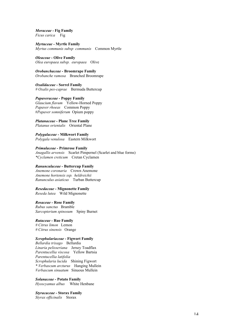*Moraceae -* **Fig Family** *Ficus carica* Fig

*Myrtaceae -* **Myrtle Family** *Myrtus communis subsp communis* Common Myrtle

*Oleaceae* **- Olive Family** *Olea europaea subsp. europaea* Olive

*Orobanchaceae* **- Broomrape Family** *Orobanche ramosa* Branched Broomrape

*Oxalidaceae* **- Sorrel Family** *# Oxalis pes-caprae* Bermuda Buttercup

*Papaveraceae -* **Poppy Family** *Glaucium flavum* Yellow-Horned Poppy *Papaver rhoeas* Common Poppy #*Papaver somniferum* Opium poppy

*Platanaceae* **- Plane Tree Family** *Platanus orientalis* Oriental Plane

*Polygalaceae* **- Milkwort Family** *Polygala venulosa* Eastern Milkwort

*Primulaceae* **- Primrose Family** *Anagallis arvensis* Scarlet Pimpernel (Scarlet and blue forms) *\*Cyclamen creticum* Cretan Cyclamen

# *Ranunculaceae* **- Buttercup Family**

*Anemone coronaria* Crown Anemone *Anemone hortensis ssp. heldreichii Ranunculus asiaticus* Turban Buttercup

*Resedaceae* **- Mignonette Family** *Reseda lutea* Wild Mignonette

#### *Rosaceae* **- Rose Family**

*Rubus sanctus* Bramble *Sarcopterium spinosum* Spiny Burnet

*Rutaceae -* **Rue Family** *# Citrus limon* Lemon *# Citrus sinensis* Orange

# *Scrophulariaceae* **- Figwort Family**

*Bellardia trixago* Bellardia *Linaria pelisseriana* Jersey Toadflax *Parentucellia viscosa* Yellow Bartsia *Parentucellia latifolia Scrophularia lucida* Shining Figwort *\* Verbascum arcturus* Hanging Mullein *Verbascum sinuatum* Sinuous Mullein

*Solanaceae* **- Potato Family** *Hyoscyamus albus* White Henbane

*Styracaceae* **- Storax Family** *Styrax officinalis* Storax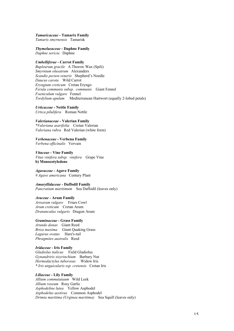*Tamaricaceae* **- Tamarix Family** *Tamarix smyrnensis* Tamarisk

*Thymelaeaceae* **- Daphne Family** *Daphne sericia* Daphne

*Umbelliferae* **- Carrot Family** *Bupleurum gracile* A Thorow Wax (Spili) *Smyrnium olusatrum* Alexanders *Scandix pecten-veneris* Shepherd's Needle *Daucus carota* Wild Carrot *Eryngium creticum* Cretan Eryngo *Ferula communis subsp. communis* Giant Fennel *Foeniculum vulgare* Fennel *Tordylium apulum* Mediterranean Hartwort (equally 2-lobed petals)

*Urticaceae -* **Nettle Family** *Urtica pilulifera* Roman Nettle

*Valerianaceae* **- Valerian Family** *\*Valeriana asarifolia* Cretan Valerian *Valeriana rubra* Red Valerian (white form)

*Verbenaceae* **- Verbena Family** *Verbena officinalis* Vervain

*Vitaceae* **- Vine Family** *Vitus vinifera subsp. vinifera* Grape Vine **b) Monocotyledons**

*Agavaceae* **- Agave Family** *# Agave americana* Century Plant

*Amaryllidaceae -* **Daffodil Family** *Pancratium maritimum* Sea Daffodil (leaves only)

*Araceae* **- Arum Family** *Arisarum vulgare* Friars Cowl *Arum creticum* Cretan Arum *Dranunculus vulgaris* Dragon Arum

*Graminaceae* **- Grass Family** *Arundo donax* Giant Reed *Briza maxima* Giant Quaking Grass *Lagurus ovatus* Hare's-tail *Phragmites australis* Reed

*Iridaceae* **- Iris Family** *Gladiolus italicus* Field Gladiolus *Gynandriris sisyrinchium* Barbary Nut *Hermodactylus tuberosus* Widow Iris *\* Iris unguicularis ssp. cretensis* Cretan Iris

*Liliaceae* **- Lily Family** *Allium commutataum* Wild Leek *Allium roseum* Rosy Garlic *Asphodeline lutea* Yellow Asphodel *Asphodelus aestivus* Common Asphodel *Drimia maritima (Urginea maritima)* Sea Squill (leaves only)